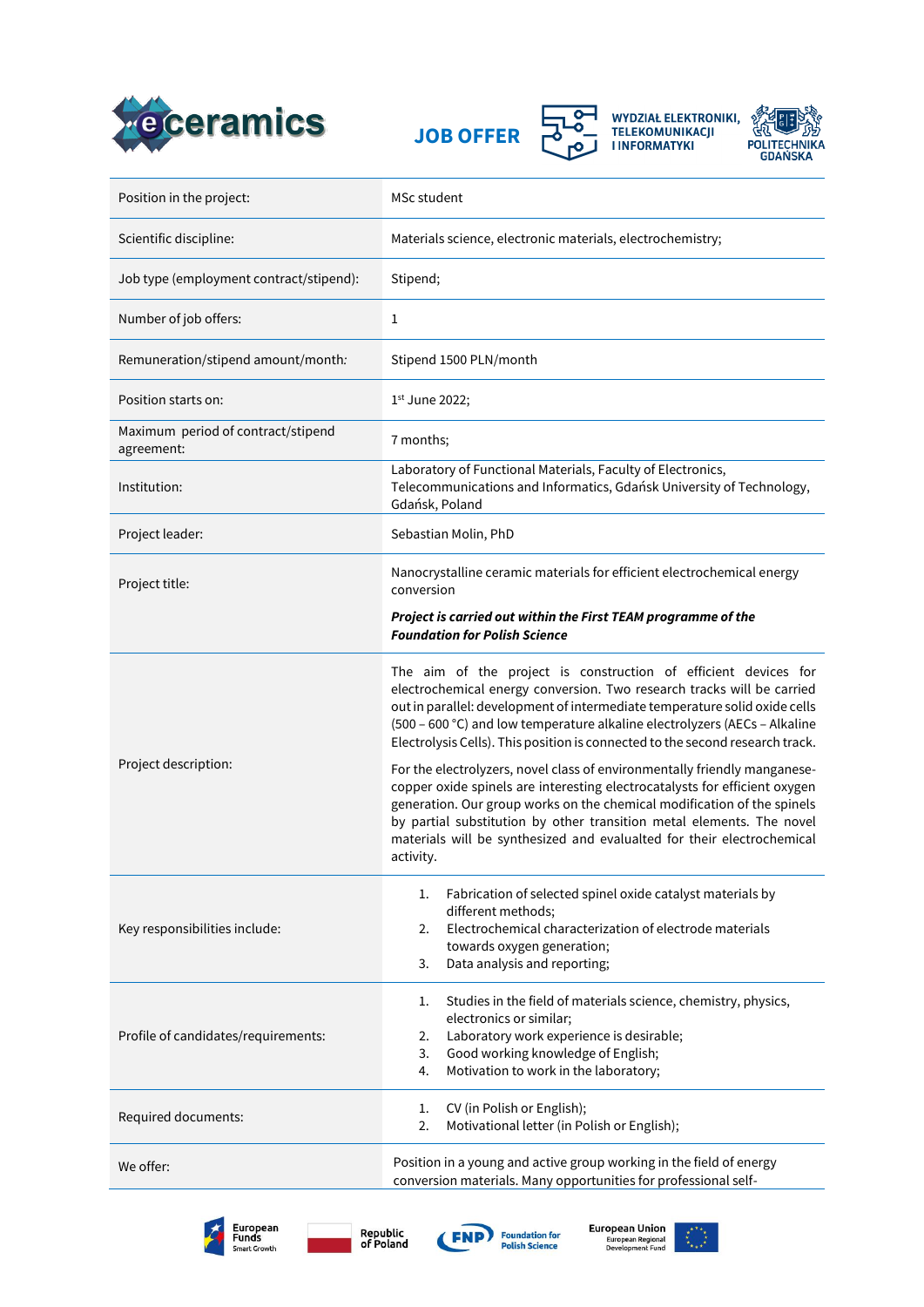





WYDZIAŁ ELEKTRONIKI,<br>TELEKOMUNIKACJI<br>I INFORMATYKI



| Position in the project:                         | MSc student                                                                                                                                                                                                                                                                                                                                                                                                                                                                                                                                                                                                                                                                                           |
|--------------------------------------------------|-------------------------------------------------------------------------------------------------------------------------------------------------------------------------------------------------------------------------------------------------------------------------------------------------------------------------------------------------------------------------------------------------------------------------------------------------------------------------------------------------------------------------------------------------------------------------------------------------------------------------------------------------------------------------------------------------------|
| Scientific discipline:                           | Materials science, electronic materials, electrochemistry;                                                                                                                                                                                                                                                                                                                                                                                                                                                                                                                                                                                                                                            |
| Job type (employment contract/stipend):          | Stipend;                                                                                                                                                                                                                                                                                                                                                                                                                                                                                                                                                                                                                                                                                              |
| Number of job offers:                            | 1                                                                                                                                                                                                                                                                                                                                                                                                                                                                                                                                                                                                                                                                                                     |
| Remuneration/stipend amount/month:               | Stipend 1500 PLN/month                                                                                                                                                                                                                                                                                                                                                                                                                                                                                                                                                                                                                                                                                |
| Position starts on:                              | 1st June 2022;                                                                                                                                                                                                                                                                                                                                                                                                                                                                                                                                                                                                                                                                                        |
| Maximum period of contract/stipend<br>agreement: | 7 months;                                                                                                                                                                                                                                                                                                                                                                                                                                                                                                                                                                                                                                                                                             |
| Institution:                                     | Laboratory of Functional Materials, Faculty of Electronics,<br>Telecommunications and Informatics, Gdańsk University of Technology,<br>Gdańsk, Poland                                                                                                                                                                                                                                                                                                                                                                                                                                                                                                                                                 |
| Project leader:                                  | Sebastian Molin, PhD                                                                                                                                                                                                                                                                                                                                                                                                                                                                                                                                                                                                                                                                                  |
| Project title:                                   | Nanocrystalline ceramic materials for efficient electrochemical energy<br>conversion                                                                                                                                                                                                                                                                                                                                                                                                                                                                                                                                                                                                                  |
|                                                  | Project is carried out within the First TEAM programme of the<br><b>Foundation for Polish Science</b>                                                                                                                                                                                                                                                                                                                                                                                                                                                                                                                                                                                                 |
| Project description:                             | The aim of the project is construction of efficient devices for<br>electrochemical energy conversion. Two research tracks will be carried<br>out in parallel: development of intermediate temperature solid oxide cells<br>(500 - 600 °C) and low temperature alkaline electrolyzers (AECs - Alkaline<br>Electrolysis Cells). This position is connected to the second research track.<br>For the electrolyzers, novel class of environmentally friendly manganese-<br>copper oxide spinels are interesting electrocatalysts for efficient oxygen<br>generation. Our group works on the chemical modification of the spinels<br>by partial substitution by other transition metal elements. The novel |
|                                                  | materials will be synthesized and evalualted for their electrochemical<br>activity.                                                                                                                                                                                                                                                                                                                                                                                                                                                                                                                                                                                                                   |
| Key responsibilities include:                    | Fabrication of selected spinel oxide catalyst materials by<br>1.<br>different methods;<br>Electrochemical characterization of electrode materials<br>2.<br>towards oxygen generation;<br>3.<br>Data analysis and reporting;                                                                                                                                                                                                                                                                                                                                                                                                                                                                           |
| Profile of candidates/requirements:              | Studies in the field of materials science, chemistry, physics,<br>1.<br>electronics or similar;<br>Laboratory work experience is desirable;<br>2.<br>Good working knowledge of English;<br>3.<br>Motivation to work in the laboratory;<br>4.                                                                                                                                                                                                                                                                                                                                                                                                                                                          |
| Required documents:                              | CV (in Polish or English);<br>1.<br>Motivational letter (in Polish or English);<br>2.                                                                                                                                                                                                                                                                                                                                                                                                                                                                                                                                                                                                                 |
| We offer:                                        | Position in a young and active group working in the field of energy<br>conversion materials. Many opportunities for professional self-                                                                                                                                                                                                                                                                                                                                                                                                                                                                                                                                                                |